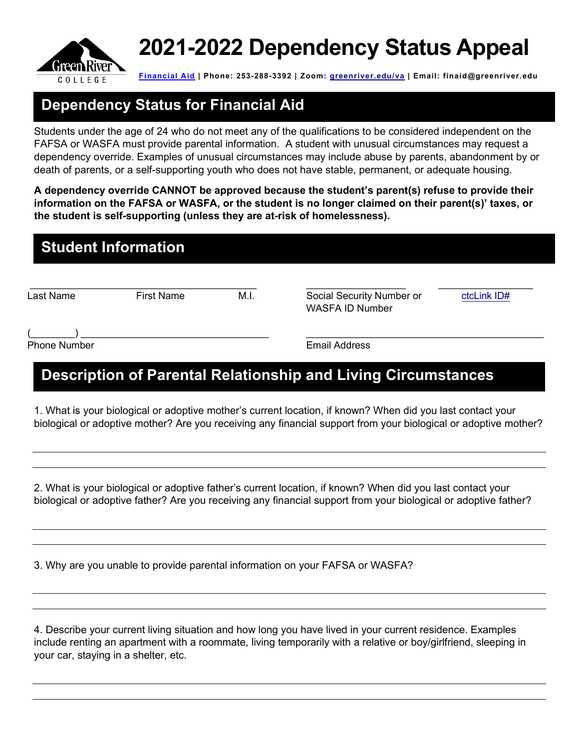

# **2021-2022 Dependency Status Appeal**

**[Financial Aid](mailto:Financial%20Aid) | Phone: 253-288-3392 | Zoom: [greenriver.edu/va](https://www.greenriver.edu/va/) | Email: [finaid@greenriver.edu](mailto:finaid@greenriver.edu)** 

# **Dependency Status for Financial Aid**

 Students under the age of 24 who do not meet any of the qualifications to be considered independent on the FAFSA or WASFA must provide parental information. A student with unusual circumstances may request a dependency override. Examples of unusual circumstances may include abuse by parents, abandonment by or death of parents, or a self-supporting youth who does not have stable, permanent, or adequate housing.

 **A dependency override CANNOT be approved because the student's parent(s) refuse to provide their information on the FAFSA or WASFA, or the student is no longer claimed on their parent(s)' taxes, or the student is self-supporting (unless they are at-risk of homelessness).** 

|  | <b>Student Information</b> |
|--|----------------------------|
|  |                            |

Last Name

\_\_\_\_\_\_\_\_\_\_\_\_\_\_\_\_\_\_\_\_\_\_\_\_\_\_\_\_\_\_\_\_\_\_\_\_\_\_\_\_\_ \_\_\_\_\_\_\_\_\_\_\_\_\_\_\_\_\_\_ First Name M.I. Social Security Number or WASFA ID Number

 $\overline{\phantom{a}}$  ,  $\overline{\phantom{a}}$  ,  $\overline{\phantom{a}}$  ,  $\overline{\phantom{a}}$  ,  $\overline{\phantom{a}}$  ,  $\overline{\phantom{a}}$  ,  $\overline{\phantom{a}}$  ,  $\overline{\phantom{a}}$  ,  $\overline{\phantom{a}}$  ,  $\overline{\phantom{a}}$  ,  $\overline{\phantom{a}}$  ,  $\overline{\phantom{a}}$  ,  $\overline{\phantom{a}}$  ,  $\overline{\phantom{a}}$  ,  $\overline{\phantom{a}}$  ,  $\overline{\phantom{a}}$ [ctcLink ID#](https://my.greenriver.edu/lookup)

Phone Number **Email Address**  $\overline{\phantom{a}}$  , and the contract of the contract of the contract of the contract of the contract of the contract of the contract of the contract of the contract of the contract of the contract of the contract of the contrac

# **Description of Parental Relationship and Living Circumstances**

 1. What is your biological or adoptive mother's current location, if known? When did you last contact your biological or adoptive mother? Are you receiving any financial support from your biological or adoptive mother?

 2. What is your biological or adoptive father's current location, if known? When did you last contact your biological or adoptive father? Are you receiving any financial support from your biological or adoptive father?

3. Why are you unable to provide parental information on your FAFSA or WASFA?

 4. Describe your current living situation and how long you have lived in your current residence. Examples include renting an apartment with a roommate, living temporarily with a relative or boy/girlfriend, sleeping in your car, staying in a shelter, etc.